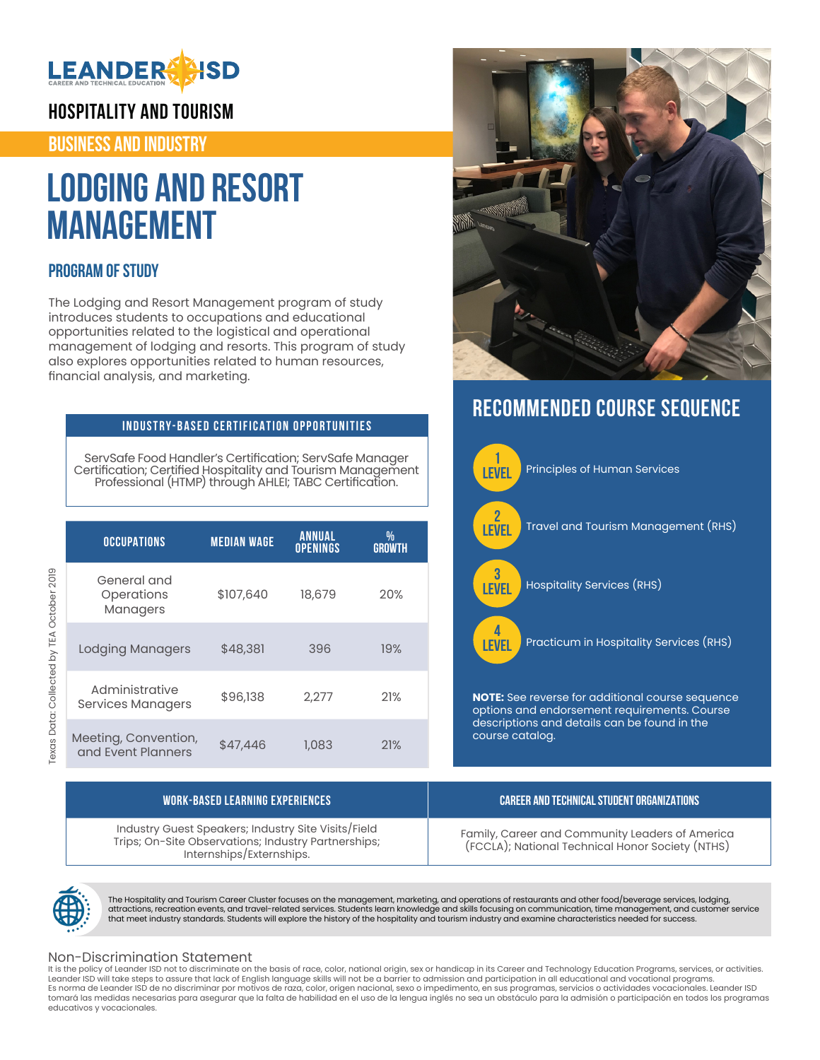

**HOSPITALITY AND TOURISM**

**BUSINESS AND INDUSTRY**

# **Lodging and Resort Management**

## **PROGRAM OF STUDY**

The Lodging and Resort Management program of study introduces students to occupations and educational opportunities related to the logistical and operational management of lodging and resorts. This program of study also explores opportunities related to human resources, financial analysis, and marketing.

### **INDUSTRY-BASED CERTIFICATION OPPORTUNITIES**

ServSafe Food Handler's Certification; ServSafe Manager Certification; Certified Hospitality and Tourism Management Professional (HTMP) through AHLEI; TABC Certification.

| <b>OCCUPATIONS</b>                         | <b>MEDIAN WAGE</b> | <b>ANNUAL</b><br><b>OPENINGS</b> | ₩<br><b>GROWTH</b> |
|--------------------------------------------|--------------------|----------------------------------|--------------------|
| General and<br>Operations<br>Managers      | \$107,640          | 18,679                           | 20%                |
| <b>Lodging Managers</b>                    | \$48,381           | 396                              | 19%                |
| Administrative<br>Services Managers        | \$96,138           | 2,277                            | 21%                |
| Meeting, Convention,<br>and Event Planners | \$47,446           | 1,083                            | 21%                |



# **RECOMMENDED COURSE SEQUENCE**



| WORK-BASED LEARNING EXPERIENCES                                                                                                        | CAREER AND TECHNICAL STUDENT ORGANIZATIONS                                                          |
|----------------------------------------------------------------------------------------------------------------------------------------|-----------------------------------------------------------------------------------------------------|
| Industry Guest Speakers; Industry Site Visits/Field<br>Trips; On-Site Observations; Industry Partnerships;<br>Internships/Externships. | Family, Career and Community Leaders of America<br>(FCCLA); National Technical Honor Society (NTHS) |



The Hospitality and Tourism Career Cluster focuses on the management, marketing, and operations of restaurants and other food/beverage services, lodging, attractions, recreation events, and travel-related services. Students learn knowledge and skills focusing on communication, time management, and customer service<br>that meet industry standards. Students will explore the hist

#### Non-Discrimination Statement

It is the policy of Leander ISD not to discriminate on the basis of race, color, national origin, sex or handicap in its Career and Technology Education Programs, services, or activities. Leander ISD will take steps to assure that lack of English language skills will not be a barrier to admission and participation in all educational and vocational programs. Es norma de Leander ISD de no discriminar por motivos de raza, color, origen nacional, sexo o impedimento, en sus programas, servicios o actividades vocacionales. Leander ISD tomará las medidas necesarias para asegurar que la falta de habilidad en el uso de la lengua inglés no sea un obstáculo para la admisión o participación en todos los programas educativos y vocacionales.